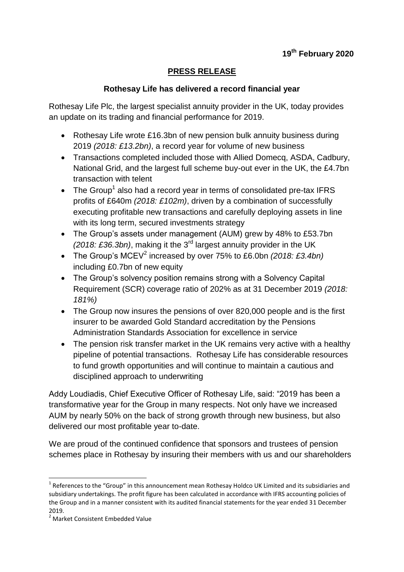# **PRESS RELEASE**

## **Rothesay Life has delivered a record financial year**

Rothesay Life Plc, the largest specialist annuity provider in the UK, today provides an update on its trading and financial performance for 2019.

- Rothesay Life wrote £16.3bn of new pension bulk annuity business during 2019 *(2018: £13.2bn)*, a record year for volume of new business
- Transactions completed included those with Allied Domecq, ASDA, Cadbury, National Grid, and the largest full scheme buy-out ever in the UK, the £4.7bn transaction with telent
- The Group<sup>1</sup> also had a record year in terms of consolidated pre-tax IFRS profits of £640m *(2018: £102m)*, driven by a combination of successfully executing profitable new transactions and carefully deploying assets in line with its long term, secured investments strategy
- The Group's assets under management (AUM) grew by 48% to £53.7bn *(2018: £36.3bn)*, making it the 3rd largest annuity provider in the UK
- The Group's MCEV<sup>2</sup> increased by over 75% to £6.0bn *(2018: £3.4bn)* including £0.7bn of new equity
- The Group's solvency position remains strong with a Solvency Capital Requirement (SCR) coverage ratio of 202% as at 31 December 2019 *(2018: 181%)*
- The Group now insures the pensions of over 820,000 people and is the first insurer to be awarded Gold Standard accreditation by the Pensions Administration Standards Association for excellence in service
- The pension risk transfer market in the UK remains very active with a healthy pipeline of potential transactions. Rothesay Life has considerable resources to fund growth opportunities and will continue to maintain a cautious and disciplined approach to underwriting

Addy Loudiadis, Chief Executive Officer of Rothesay Life, said: "2019 has been a transformative year for the Group in many respects. Not only have we increased AUM by nearly 50% on the back of strong growth through new business, but also delivered our most profitable year to-date.

We are proud of the continued confidence that sponsors and trustees of pension schemes place in Rothesay by insuring their members with us and our shareholders

 $\overline{a}$ 

 $1$  References to the "Group" in this announcement mean Rothesay Holdco UK Limited and its subsidiaries and subsidiary undertakings. The profit figure has been calculated in accordance with IFRS accounting policies of the Group and in a manner consistent with its audited financial statements for the year ended 31 December 2019.

<sup>2</sup> Market Consistent Embedded Value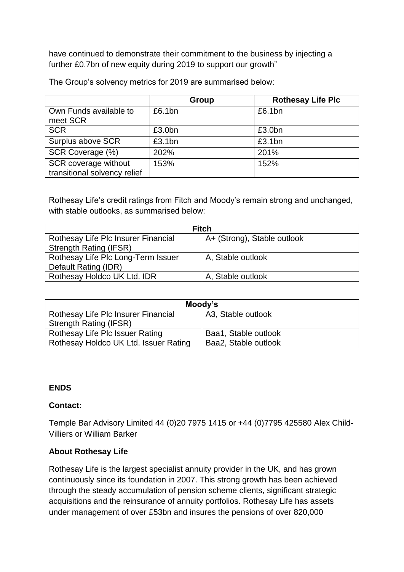have continued to demonstrate their commitment to the business by injecting a further £0.7bn of new equity during 2019 to support our growth"

|                                                      | Group  | <b>Rothesay Life Plc</b> |
|------------------------------------------------------|--------|--------------------------|
| Own Funds available to<br>meet SCR                   | £6.1bn | £6.1bn                   |
| <b>SCR</b>                                           | £3.0bn | £3.0bn                   |
| Surplus above SCR                                    | £3.1bn | £3.1bn                   |
| SCR Coverage (%)                                     | 202%   | 201%                     |
| SCR coverage without<br>transitional solvency relief | 153%   | 152%                     |

The Group's solvency metrics for 2019 are summarised below:

Rothesay Life's credit ratings from Fitch and Moody's remain strong and unchanged, with stable outlooks, as summarised below:

| <b>Fitch</b>                        |                             |  |
|-------------------------------------|-----------------------------|--|
| Rothesay Life Plc Insurer Financial | A+ (Strong), Stable outlook |  |
| <b>Strength Rating (IFSR)</b>       |                             |  |
| Rothesay Life Plc Long-Term Issuer  | A, Stable outlook           |  |
| Default Rating (IDR)                |                             |  |
| Rothesay Holdco UK Ltd. IDR         | A, Stable outlook           |  |

| Moody's                               |                      |  |
|---------------------------------------|----------------------|--|
| Rothesay Life Plc Insurer Financial   | A3, Stable outlook   |  |
| <b>Strength Rating (IFSR)</b>         |                      |  |
| Rothesay Life Plc Issuer Rating       | Baa1, Stable outlook |  |
| Rothesay Holdco UK Ltd. Issuer Rating | Baa2, Stable outlook |  |

#### **ENDS**

## **Contact:**

Temple Bar Advisory Limited 44 (0)20 7975 1415 or +44 (0)7795 425580 Alex Child-Villiers or William Barker

## **About Rothesay Life**

Rothesay Life is the largest specialist annuity provider in the UK, and has grown continuously since its foundation in 2007. This strong growth has been achieved through the steady accumulation of pension scheme clients, significant strategic acquisitions and the reinsurance of annuity portfolios. Rothesay Life has assets under management of over £53bn and insures the pensions of over 820,000